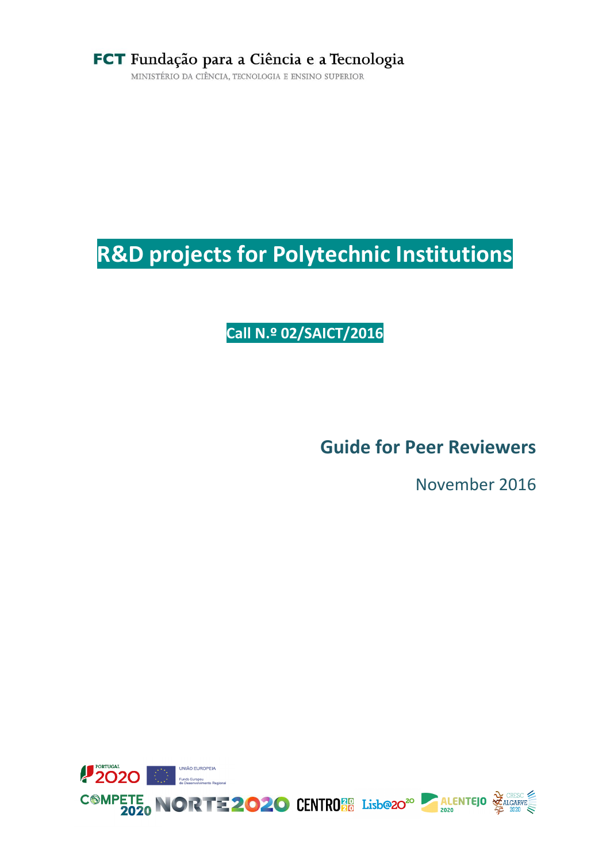MINISTÉRIO DA CIÊNCIA, TECNOLOGIA E ENSINO SUPERIOR

# **R&D projects for Polytechnic Institutions**

**Call N.º 02/SAICT/2016**

**Guide for Peer Reviewers**

November 2016

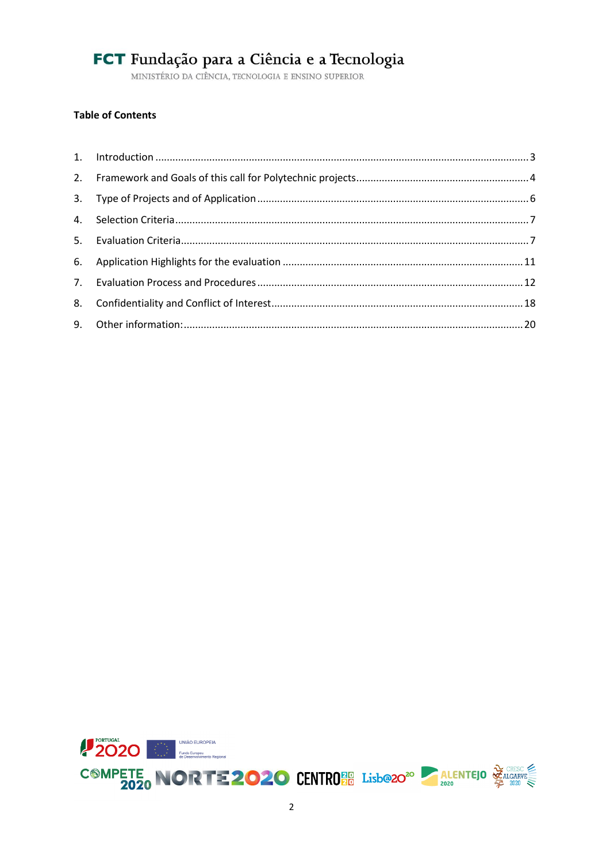MINISTÉRIO DA CIÊNCIA, TECNOLOGIA E ENSINO SUPERIOR

### **Table of Contents**

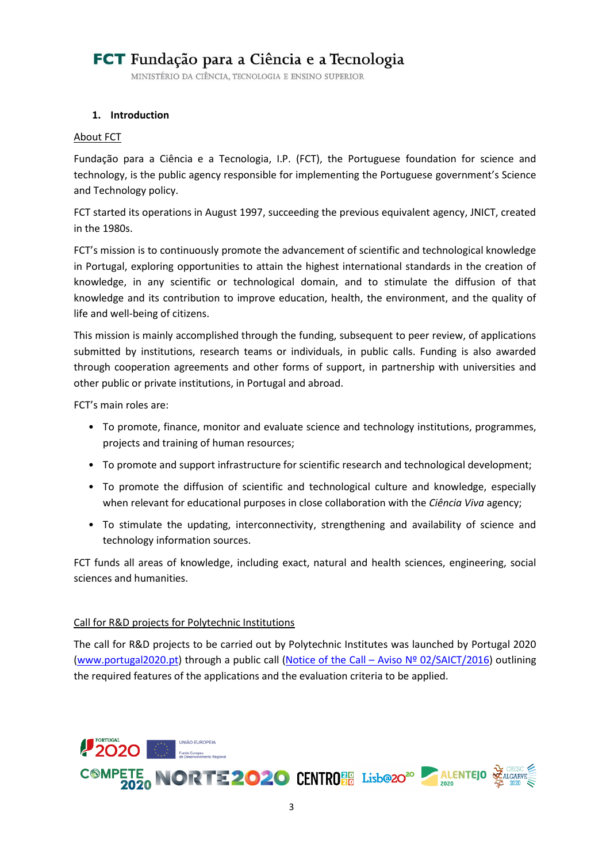MINISTÉRIO DA CIÊNCIA, TECNOLOGIA E ENSINO SUPERIOR

### <span id="page-2-0"></span>**1. Introduction**

#### About FCT

Fundação para a Ciência e a Tecnologia, I.P. (FCT), the Portuguese foundation for science and technology, is the public agency responsible for implementing the Portuguese government's Science and Technology policy.

FCT started its operations in August 1997, succeeding the previous equivalent agency, JNICT, created in the 1980s.

FCT's mission is to continuously promote the advancement of scientific and technological knowledge in Portugal, exploring opportunities to attain the highest international standards in the creation of knowledge, in any scientific or technological domain, and to stimulate the diffusion of that knowledge and its contribution to improve education, health, the environment, and the quality of life and well-being of citizens.

This mission is mainly accomplished through the funding, subsequent to peer review, of applications submitted by institutions, research teams or individuals, in public calls. Funding is also awarded through cooperation agreements and other forms of support, in partnership with universities and other public or private institutions, in Portugal and abroad.

FCT's main roles are:

- To promote, finance, monitor and evaluate science and technology institutions, programmes, projects and training of human resources;
- To promote and support infrastructure for scientific research and technological development;
- To promote the diffusion of scientific and technological culture and knowledge, especially when relevant for educational purposes in close collaboration with the *Ciência Viva* agency;
- To stimulate the updating, interconnectivity, strengthening and availability of science and technology information sources.

FCT funds all areas of knowledge, including exact, natural and health sciences, engineering, social sciences and humanities.

#### Call for R&D projects for Polytechnic Institutions

The call for R&D projects to be carried out by Polytechnic Institutes was launched by Portugal 2020 [\(www.portugal2020.pt\)](http://www.portugal2020.pt/) through a public call (Notice of the Call – [Aviso Nº 02/SAICT/2016\)](http://www.poci-compete2020.pt/admin/images/20160722_Aviso_02_SAICT2016_Politecnicos_Repub.pdf) outlining the required features of the applications and the evaluation criteria to be applied.

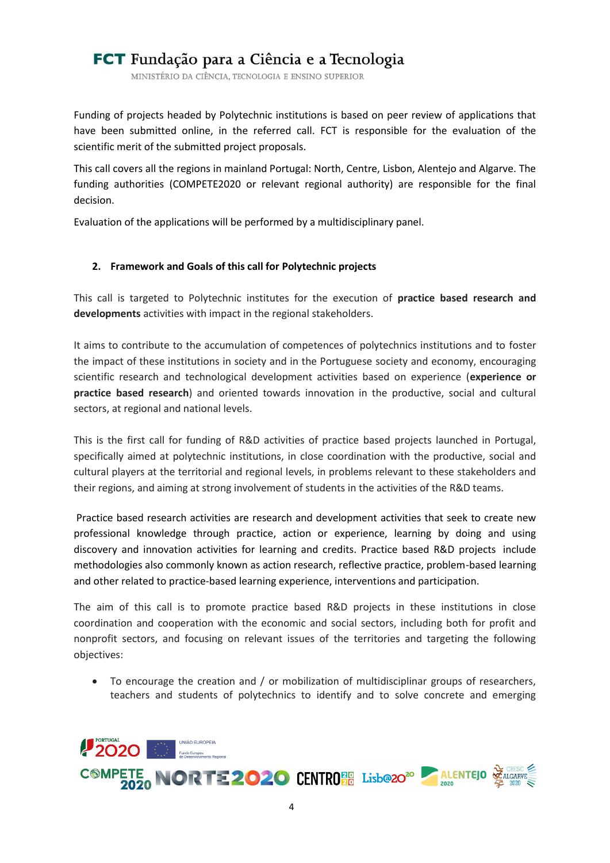MINISTÉRIO DA CIÊNCIA, TECNOLOGIA E ENSINO SUPERIOR

Funding of projects headed by Polytechnic institutions is based on peer review of applications that have been submitted online, in the referred call. FCT is responsible for the evaluation of the scientific merit of the submitted project proposals.

This call covers all the regions in mainland Portugal: North, Centre, Lisbon, Alentejo and Algarve. The funding authorities (COMPETE2020 or relevant regional authority) are responsible for the final decision.

Evaluation of the applications will be performed by a multidisciplinary panel.

### <span id="page-3-0"></span>**2. Framework and Goals of this call for Polytechnic projects**

This call is targeted to Polytechnic institutes for the execution of **practice based research and developments** activities with impact in the regional stakeholders.

It aims to contribute to the accumulation of competences of polytechnics institutions and to foster the impact of these institutions in society and in the Portuguese society and economy, encouraging scientific research and technological development activities based on experience (**experience or practice based research**) and oriented towards innovation in the productive, social and cultural sectors, at regional and national levels.

This is the first call for funding of R&D activities of practice based projects launched in Portugal, specifically aimed at polytechnic institutions, in close coordination with the productive, social and cultural players at the territorial and regional levels, in problems relevant to these stakeholders and their regions, and aiming at strong involvement of students in the activities of the R&D teams.

Practice based research activities are research and development activities that seek to create new professional knowledge through practice, action or experience, learning by doing and using discovery and innovation activities for learning and credits. Practice based R&D projects include methodologies also commonly known as action research, reflective practice, problem-based learning and other related to practice-based learning experience, interventions and participation.

The aim of this call is to promote practice based R&D projects in these institutions in close coordination and cooperation with the economic and social sectors, including both for profit and nonprofit sectors, and focusing on relevant issues of the territories and targeting the following objectives:

 To encourage the creation and / or mobilization of multidisciplinar groups of researchers, teachers and students of polytechnics to identify and to solve concrete and emerging

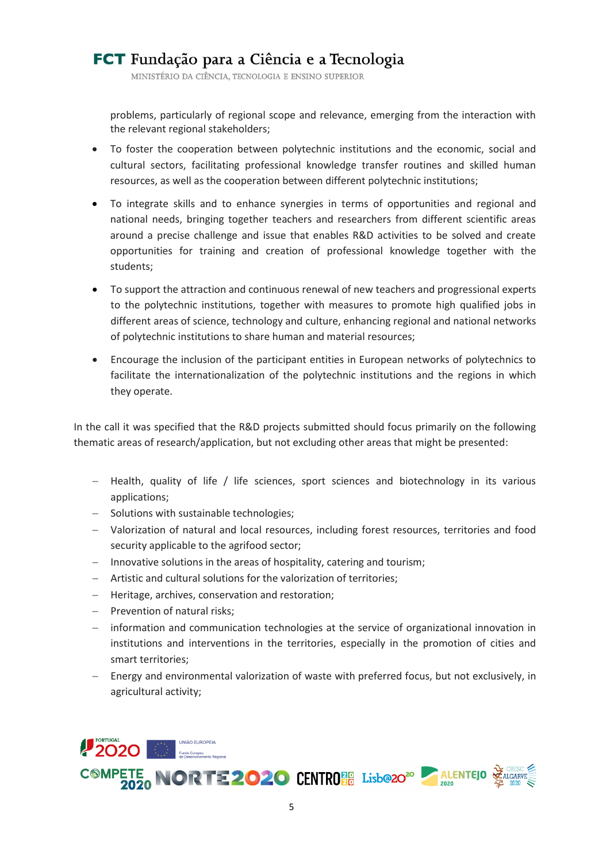MINISTÉRIO DA CIÊNCIA, TECNOLOGIA E ENSINO SUPERIOR

problems, particularly of regional scope and relevance, emerging from the interaction with the relevant regional stakeholders;

- To foster the cooperation between polytechnic institutions and the economic, social and cultural sectors, facilitating professional knowledge transfer routines and skilled human resources, as well as the cooperation between different polytechnic institutions;
- To integrate skills and to enhance synergies in terms of opportunities and regional and national needs, bringing together teachers and researchers from different scientific areas around a precise challenge and issue that enables R&D activities to be solved and create opportunities for training and creation of professional knowledge together with the students;
- To support the attraction and continuous renewal of new teachers and progressional experts to the polytechnic institutions, together with measures to promote high qualified jobs in different areas of science, technology and culture, enhancing regional and national networks of polytechnic institutions to share human and material resources;
- Encourage the inclusion of the participant entities in European networks of polytechnics to facilitate the internationalization of the polytechnic institutions and the regions in which they operate.

In the call it was specified that the R&D projects submitted should focus primarily on the following thematic areas of research/application, but not excluding other areas that might be presented:

- Health, quality of life / life sciences, sport sciences and biotechnology in its various applications;
- Solutions with sustainable technologies;
- Valorization of natural and local resources, including forest resources, territories and food security applicable to the agrifood sector;
- Innovative solutions in the areas of hospitality, catering and tourism;
- Artistic and cultural solutions for the valorization of territories;
- Heritage, archives, conservation and restoration;
- Prevention of natural risks;
- information and communication technologies at the service of organizational innovation in institutions and interventions in the territories, especially in the promotion of cities and smart territories;
- Energy and environmental valorization of waste with preferred focus, but not exclusively, in agricultural activity;

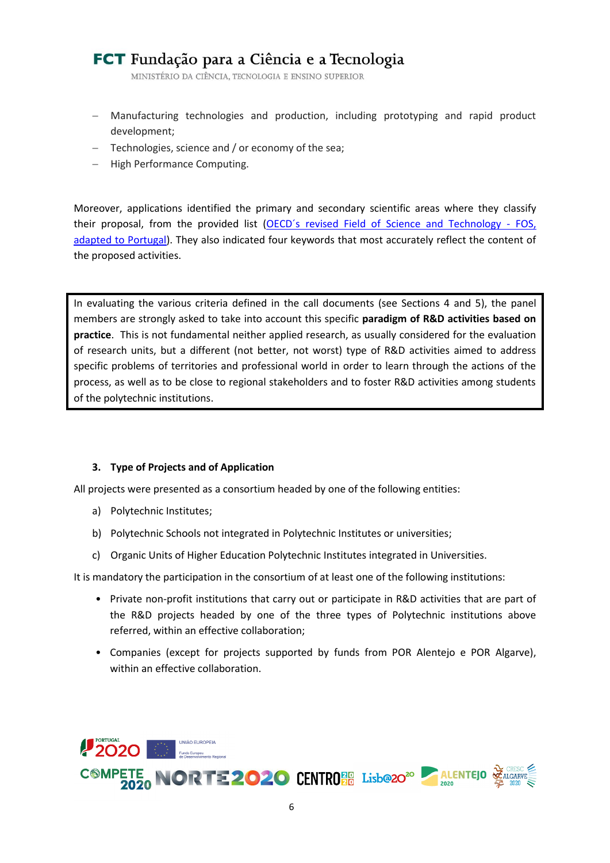MINISTÉRIO DA CIÊNCIA, TECNOLOGIA E ENSINO SUPERIOR

- Manufacturing technologies and production, including prototyping and rapid product development;
- Technologies, science and / or economy of the sea;
- High Performance Computing.

Moreover, applications identified the primary and secondary scientific areas where they classify their proposal, from the provided list [\(OECD´s revised Field of Science and Technology -](http://www.oecd.org/science/inno/38235147.pdf) FOS, [adapted to Portugal\)](http://www.oecd.org/science/inno/38235147.pdf). They also indicated four keywords that most accurately reflect the content of the proposed activities.

In evaluating the various criteria defined in the call documents (see Sections [4](#page-6-0) and [5\)](#page-6-1), the panel members are strongly asked to take into account this specific **paradigm of R&D activities based on practice**. This is not fundamental neither applied research, as usually considered for the evaluation of research units, but a different (not better, not worst) type of R&D activities aimed to address specific problems of territories and professional world in order to learn through the actions of the process, as well as to be close to regional stakeholders and to foster R&D activities among students of the polytechnic institutions.

### <span id="page-5-0"></span>**3. Type of Projects and of Application**

All projects were presented as a consortium headed by one of the following entities:

- a) Polytechnic Institutes;
- b) Polytechnic Schools not integrated in Polytechnic Institutes or universities;
- c) Organic Units of Higher Education Polytechnic Institutes integrated in Universities.

It is mandatory the participation in the consortium of at least one of the following institutions:

- Private non-profit institutions that carry out or participate in R&D activities that are part of the R&D projects headed by one of the three types of Polytechnic institutions above referred, within an effective collaboration;
- Companies (except for projects supported by funds from POR Alentejo e POR Algarve), within an effective collaboration.

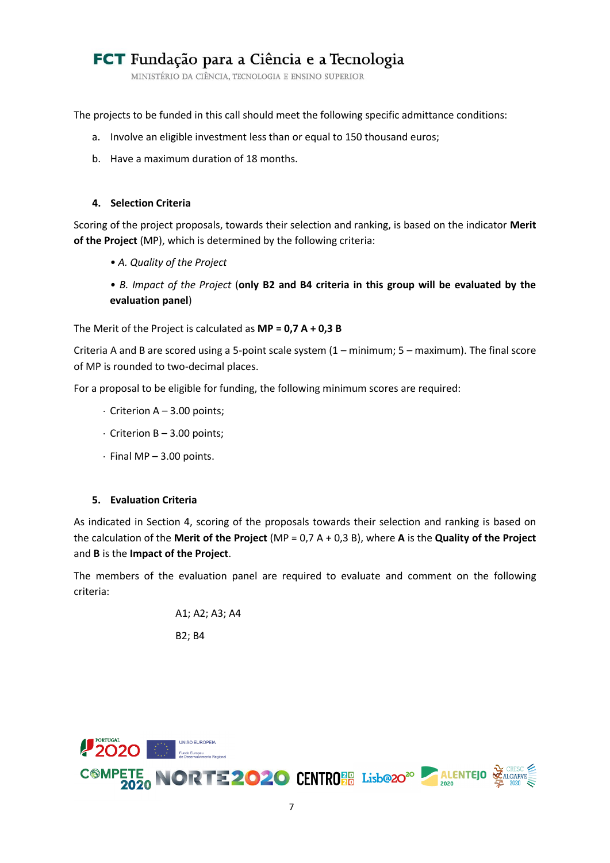MINISTÉRIO DA CIÊNCIA, TECNOLOGIA E ENSINO SUPERIOR

The projects to be funded in this call should meet the following specific admittance conditions:

- a. Involve an eligible investment less than or equal to 150 thousand euros;
- b. Have a maximum duration of 18 months.

### <span id="page-6-0"></span>**4. Selection Criteria**

Scoring of the project proposals, towards their selection and ranking, is based on the indicator **Merit of the Project** (MP), which is determined by the following criteria:

- *A. Quality of the Project*
- *B. Impact of the Project* (**only B2 and B4 criteria in this group will be evaluated by the evaluation panel**)

The Merit of the Project is calculated as **MP = 0,7 A + 0,3 B**

Criteria A and B are scored using a 5-point scale system (1 – minimum; 5 – maximum). The final score of MP is rounded to two-decimal places.

For a proposal to be eligible for funding, the following minimum scores are required:

- Criterion A 3.00 points;
- $\cdot$  Criterion B 3.00 points;
- $\cdot$  Final MP 3.00 points.

#### <span id="page-6-1"></span>**5. Evaluation Criteria**

As indicated in Section [4,](#page-6-0) scoring of the proposals towards their selection and ranking is based on the calculation of the **Merit of the Project** (MP = 0,7 A + 0,3 B), where **A** is the **Quality of the Project** and **B** is the **Impact of the Project**.

The members of the evaluation panel are required to evaluate and comment on the following criteria:

> A1; A2; A3; A4 B2; B4

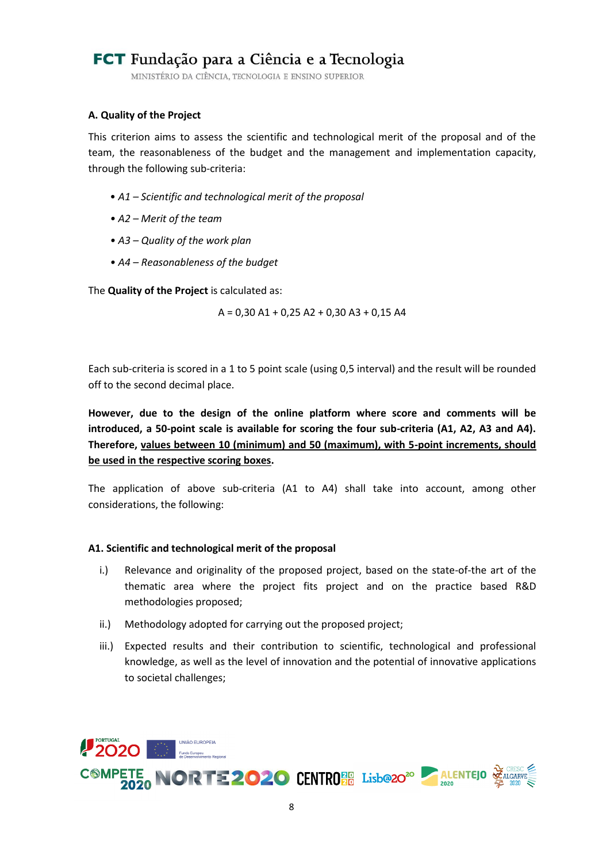MINISTÉRIO DA CIÊNCIA, TECNOLOGIA E ENSINO SUPERIOR

### **A. Quality of the Project**

This criterion aims to assess the scientific and technological merit of the proposal and of the team, the reasonableness of the budget and the management and implementation capacity, through the following sub-criteria:

- *A1 – Scientific and technological merit of the proposal*
- *A2 – Merit of the team*
- *A3 – Quality of the work plan*
- *A4 – Reasonableness of the budget*

The **Quality of the Project** is calculated as:

A = 0,30 A1 + 0,25 A2 + 0,30 A3 + 0,15 A4

Each sub-criteria is scored in a 1 to 5 point scale (using 0,5 interval) and the result will be rounded off to the second decimal place.

**However, due to the design of the online platform where score and comments will be introduced, a 50-point scale is available for scoring the four sub-criteria (A1, A2, A3 and A4). Therefore, values between 10 (minimum) and 50 (maximum), with 5-point increments, should be used in the respective scoring boxes.** 

The application of above sub-criteria (A1 to A4) shall take into account, among other considerations, the following:

#### **A1. Scientific and technological merit of the proposal**

- i.) Relevance and originality of the proposed project, based on the state-of-the art of the thematic area where the project fits project and on the practice based R&D methodologies proposed;
- ii.) Methodology adopted for carrying out the proposed project;
- iii.) Expected results and their contribution to scientific, technological and professional knowledge, as well as the level of innovation and the potential of innovative applications to societal challenges;

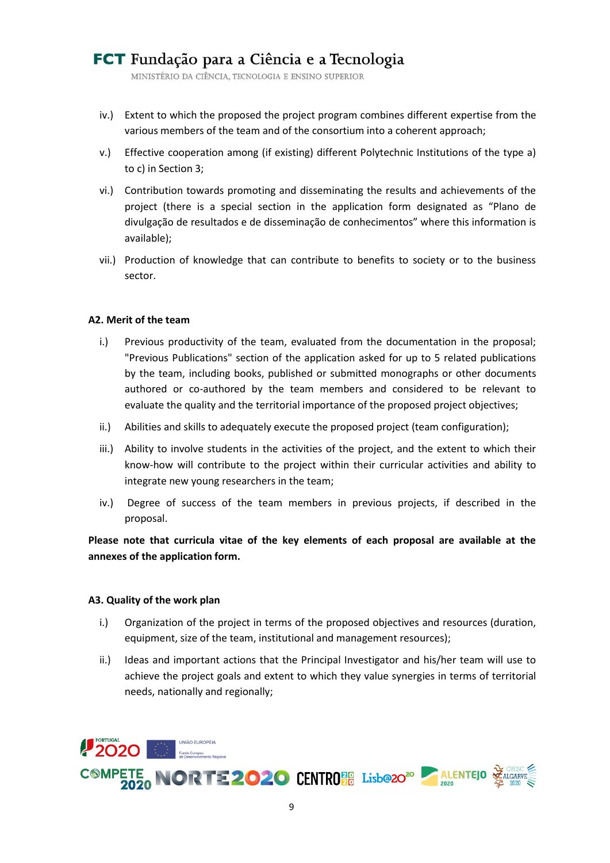MINISTÉRIO DA CIÊNCIA, TECNOLOGIA E ENSINO SUPERIOR

- iv.) Extent to which the proposed the project program combines different expertise from the various members of the team and of the consortium into a coherent approach;
- v.) Effective cooperation among (if existing) different Polytechnic Institutions of the type a) to c) in Sectio[n 3;](#page-5-0)
- vi.) Contribution towards promoting and disseminating the results and achievements of the project (there is a special section in the application form designated as "Plano de divulgação de resultados e de disseminação de conhecimentos" where this information is available);
- vii.) Production of knowledge that can contribute to benefits to society or to the business sector.

### **A2. Merit of the team**

- i.) Previous productivity of the team, evaluated from the documentation in the proposal; "Previous Publications" section of the application asked for up to 5 related publications by the team, including books, published or submitted monographs or other documents authored or co-authored by the team members and considered to be relevant to evaluate the quality and the territorial importance of the proposed project objectives;
- ii.) Abilities and skills to adequately execute the proposed project (team configuration);
- iii.) Ability to involve students in the activities of the project, and the extent to which their know-how will contribute to the project within their curricular activities and ability to integrate new young researchers in the team;
- iv.) Degree of success of the team members in previous projects, if described in the proposal.

**Please note that curricula vitae of the key elements of each proposal are available at the annexes of the application form.**

#### **A3. Quality of the work plan**

- i.) Organization of the project in terms of the proposed objectives and resources (duration, equipment, size of the team, institutional and management resources);
- ii.) Ideas and important actions that the Principal Investigator and his/her team will use to achieve the project goals and extent to which they value synergies in terms of territorial needs, nationally and regionally;

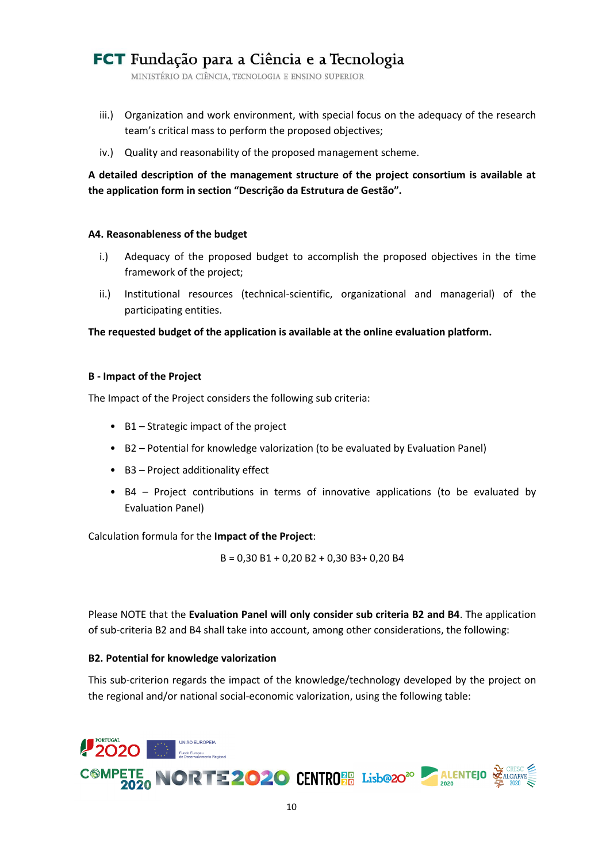MINISTÉRIO DA CIÊNCIA, TECNOLOGIA E ENSINO SUPERIOR

- iii.) Organization and work environment, with special focus on the adequacy of the research team's critical mass to perform the proposed objectives;
- iv.) Quality and reasonability of the proposed management scheme.

**A detailed description of the management structure of the project consortium is available at the application form in section "Descrição da Estrutura de Gestão".**

#### **A4. Reasonableness of the budget**

- i.) Adequacy of the proposed budget to accomplish the proposed objectives in the time framework of the project;
- ii.) Institutional resources (technical-scientific, organizational and managerial) of the participating entities.

**The requested budget of the application is available at the online evaluation platform.**

### **B - Impact of the Project**

The Impact of the Project considers the following sub criteria:

- B1 Strategic impact of the project
- B2 Potential for knowledge valorization (to be evaluated by Evaluation Panel)
- B3 Project additionality effect
- B4 Project contributions in terms of innovative applications (to be evaluated by Evaluation Panel)

Calculation formula for the **Impact of the Project**:

B = 0,30 B1 + 0,20 B2 + 0,30 B3+ 0,20 B4

Please NOTE that the **Evaluation Panel will only consider sub criteria B2 and B4**. The application of sub-criteria B2 and B4 shall take into account, among other considerations, the following:

### **B2. Potential for knowledge valorization**

This sub-criterion regards the impact of the knowledge/technology developed by the project on the regional and/or national social-economic valorization, using the following table:

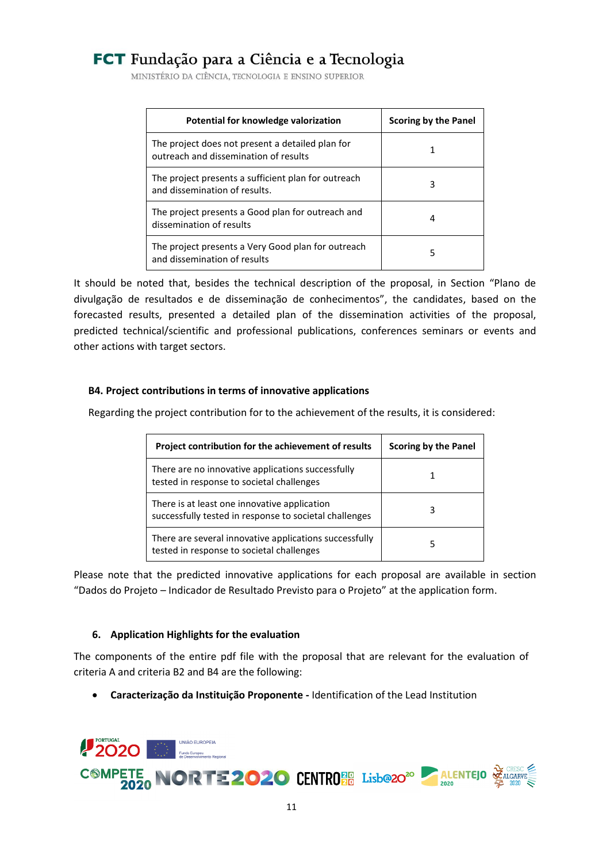MINISTÉRIO DA CIÊNCIA, TECNOLOGIA E ENSINO SUPERIOR

| Potential for knowledge valorization                                                      | Scoring by the Panel |
|-------------------------------------------------------------------------------------------|----------------------|
| The project does not present a detailed plan for<br>outreach and dissemination of results |                      |
| The project presents a sufficient plan for outreach<br>and dissemination of results.      |                      |
| The project presents a Good plan for outreach and<br>dissemination of results             |                      |
| The project presents a Very Good plan for outreach<br>and dissemination of results        | 5                    |

It should be noted that, besides the technical description of the proposal, in Section "Plano de divulgação de resultados e de disseminação de conhecimentos", the candidates, based on the forecasted results, presented a detailed plan of the dissemination activities of the proposal, predicted technical/scientific and professional publications, conferences seminars or events and other actions with target sectors.

### **B4. Project contributions in terms of innovative applications**

Regarding the project contribution for to the achievement of the results, it is considered:

| Project contribution for the achievement of results                                                    | <b>Scoring by the Panel</b> |
|--------------------------------------------------------------------------------------------------------|-----------------------------|
| There are no innovative applications successfully<br>tested in response to societal challenges         |                             |
| There is at least one innovative application<br>successfully tested in response to societal challenges | 3                           |
| There are several innovative applications successfully<br>tested in response to societal challenges    | 5                           |

Please note that the predicted innovative applications for each proposal are available in section "Dados do Projeto – Indicador de Resultado Previsto para o Projeto" at the application form.

### <span id="page-10-0"></span>**6. Application Highlights for the evaluation**

The components of the entire pdf file with the proposal that are relevant for the evaluation of criteria A and criteria B2 and B4 are the following:

**Caracterização da Instituição Proponente -** Identification of the Lead Institution

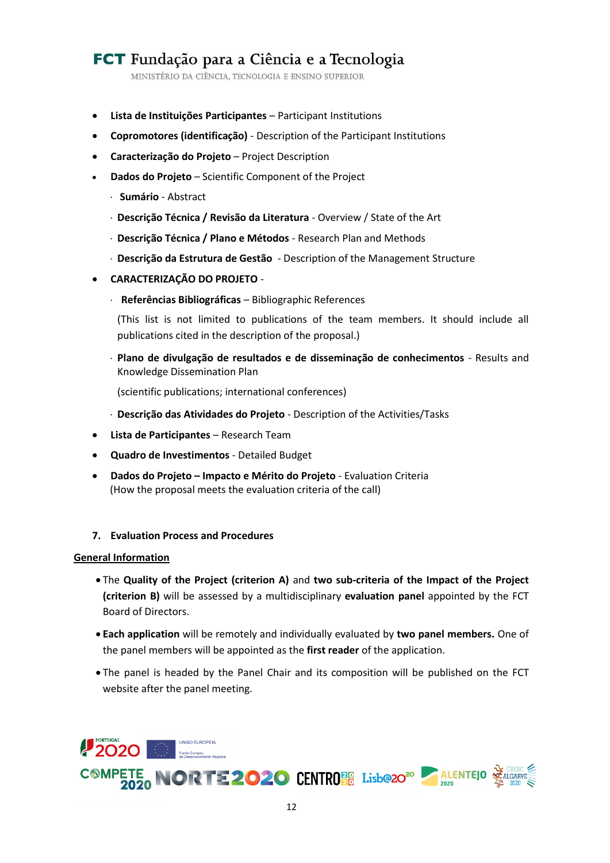MINISTÉRIO DA CIÊNCIA, TECNOLOGIA E ENSINO SUPERIOR

- **Lista de Instituições Participantes** Participant Institutions
- **Copromotores (identificação)**  Description of the Participant Institutions
- **Caracterização do Projeto** Project Description
- **Dados do Projeto** Scientific Component of the Project
	- **Sumário**  Abstract
	- **Descrição Técnica / Revisão da Literatura** Overview / State of the Art
	- **Descrição Técnica / Plano e Métodos** Research Plan and Methods
	- **Descrição da Estrutura de Gestão** Description of the Management Structure
- **CARACTERIZAÇÃO DO PROJETO**
	- **Referências Bibliográficas** Bibliographic References

(This list is not limited to publications of the team members. It should include all publications cited in the description of the proposal.)

 **Plano de divulgação de resultados e de disseminação de conhecimentos** - Results and Knowledge Dissemination Plan

(scientific publications; international conferences)

- **Descrição das Atividades do Projeto** Description of the Activities/Tasks
- **Lista de Participantes** Research Team
- **Quadro de Investimentos** Detailed Budget
- **Dados do Projeto – Impacto e Mérito do Projeto** Evaluation Criteria (How the proposal meets the evaluation criteria of the call)
- <span id="page-11-0"></span>**7. Evaluation Process and Procedures**

#### **General Information**

- The **Quality of the Project (criterion A)** and **two sub-criteria of the Impact of the Project (criterion B)** will be assessed by a multidisciplinary **evaluation panel** appointed by the FCT Board of Directors.
- **Each application** will be remotely and individually evaluated by **two panel members.** One of the panel members will be appointed as the **first reader** of the application.
- The panel is headed by the Panel Chair and its composition will be published on the FCT website after the panel meeting.

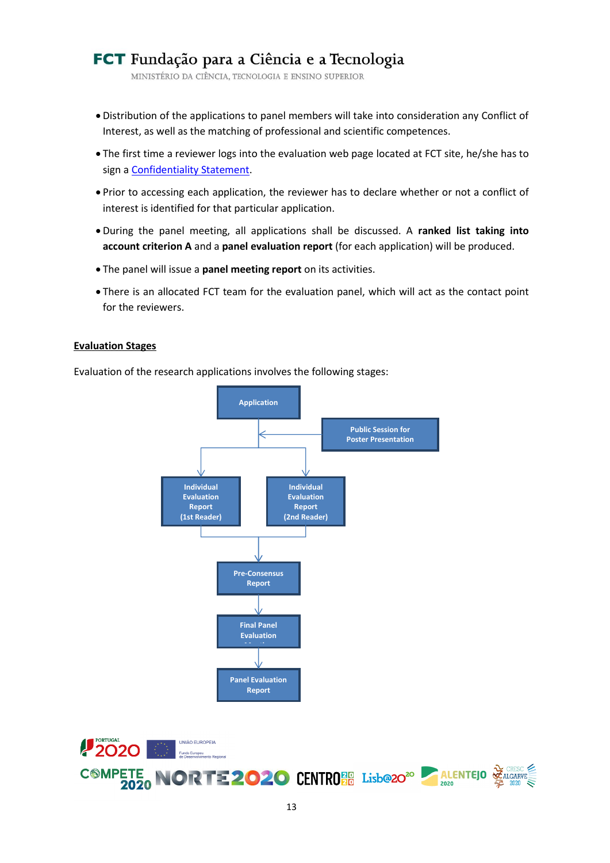MINISTÉRIO DA CIÊNCIA, TECNOLOGIA E ENSINO SUPERIOR

- Distribution of the applications to panel members will take into consideration any Conflict of Interest, as well as the matching of professional and scientific competences.
- The first time a reviewer logs into the evaluation web page located at FCT site, he/she has to sign a [Confidentiality Statement.](#page-17-1)
- Prior to accessing each application, the reviewer has to declare whether or not a conflict of interest is identified for that particular application.
- During the panel meeting, all applications shall be discussed. A **ranked list taking into account criterion A** and a **panel evaluation report** (for each application) will be produced.
- The panel will issue a **panel meeting report** on its activities.
- There is an allocated FCT team for the evaluation panel, which will act as the contact point for the reviewers.

#### **Evaluation Stages**

Evaluation of the research applications involves the following stages:



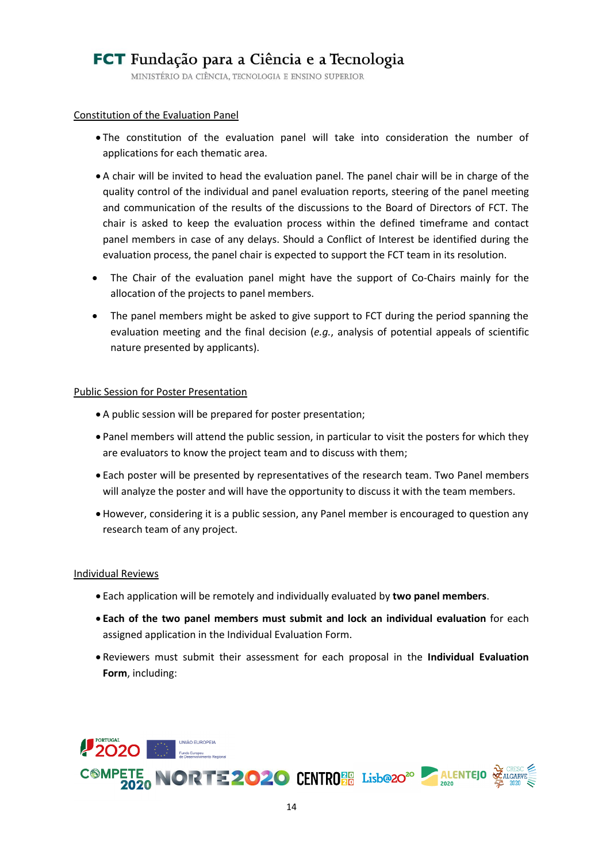MINISTÉRIO DA CIÊNCIA, TECNOLOGIA E ENSINO SUPERIOR

#### Constitution of the Evaluation Panel

- The constitution of the evaluation panel will take into consideration the number of applications for each thematic area.
- A chair will be invited to head the evaluation panel. The panel chair will be in charge of the quality control of the individual and panel evaluation reports, steering of the panel meeting and communication of the results of the discussions to the Board of Directors of FCT. The chair is asked to keep the evaluation process within the defined timeframe and contact panel members in case of any delays. Should a Conflict of Interest be identified during the evaluation process, the panel chair is expected to support the FCT team in its resolution.
- The Chair of the evaluation panel might have the support of Co-Chairs mainly for the allocation of the projects to panel members.
- The panel members might be asked to give support to FCT during the period spanning the evaluation meeting and the final decision (*e.g.*, analysis of potential appeals of scientific nature presented by applicants).

#### Public Session for Poster Presentation

- A public session will be prepared for poster presentation;
- Panel members will attend the public session, in particular to visit the posters for which they are evaluators to know the project team and to discuss with them;
- Each poster will be presented by representatives of the research team. Two Panel members will analyze the poster and will have the opportunity to discuss it with the team members.
- However, considering it is a public session, any Panel member is encouraged to question any research team of any project.

#### Individual Reviews

- Each application will be remotely and individually evaluated by **two panel members**.
- **Each of the two panel members must submit and lock an individual evaluation** for each assigned application in the Individual Evaluation Form.
- Reviewers must submit their assessment for each proposal in the **Individual Evaluation Form**, including:

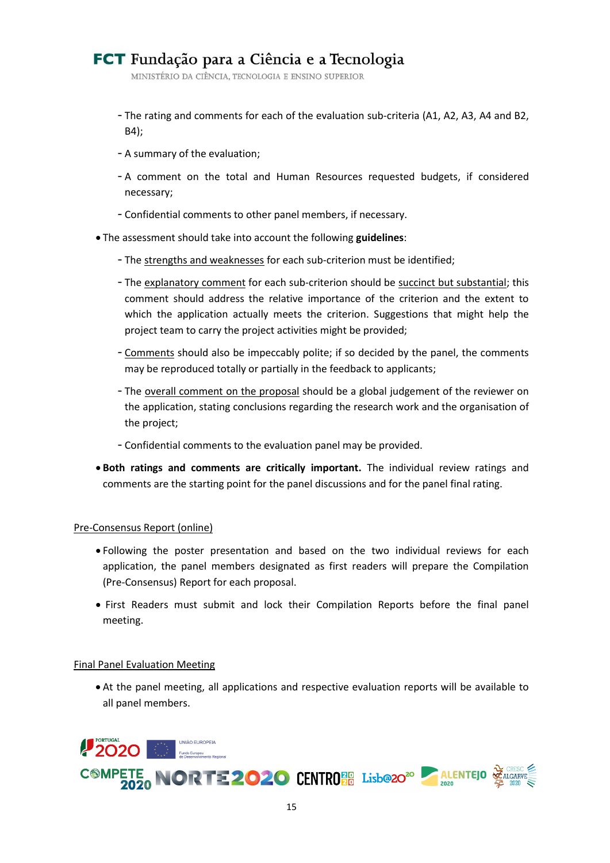MINISTÉRIO DA CIÊNCIA, TECNOLOGIA E ENSINO SUPERIOR

- The rating and comments for each of the evaluation sub-criteria (A1, A2, A3, A4 and B2, B4);
- A summary of the evaluation;
- A comment on the total and Human Resources requested budgets, if considered necessary;
- Confidential comments to other panel members, if necessary.
- The assessment should take into account the following **guidelines**:
	- The strengths and weaknesses for each sub-criterion must be identified;
	- The explanatory comment for each sub-criterion should be succinct but substantial; this comment should address the relative importance of the criterion and the extent to which the application actually meets the criterion. Suggestions that might help the project team to carry the project activities might be provided;
	- Comments should also be impeccably polite; if so decided by the panel, the comments may be reproduced totally or partially in the feedback to applicants;
	- The overall comment on the proposal should be a global judgement of the reviewer on the application, stating conclusions regarding the research work and the organisation of the project;
	- Confidential comments to the evaluation panel may be provided.
- **Both ratings and comments are critically important.** The individual review ratings and comments are the starting point for the panel discussions and for the panel final rating.

#### Pre-Consensus Report (online)

- Following the poster presentation and based on the two individual reviews for each application, the panel members designated as first readers will prepare the Compilation (Pre-Consensus) Report for each proposal.
- First Readers must submit and lock their Compilation Reports before the final panel meeting.

#### Final Panel Evaluation Meeting

 At the panel meeting, all applications and respective evaluation reports will be available to all panel members.

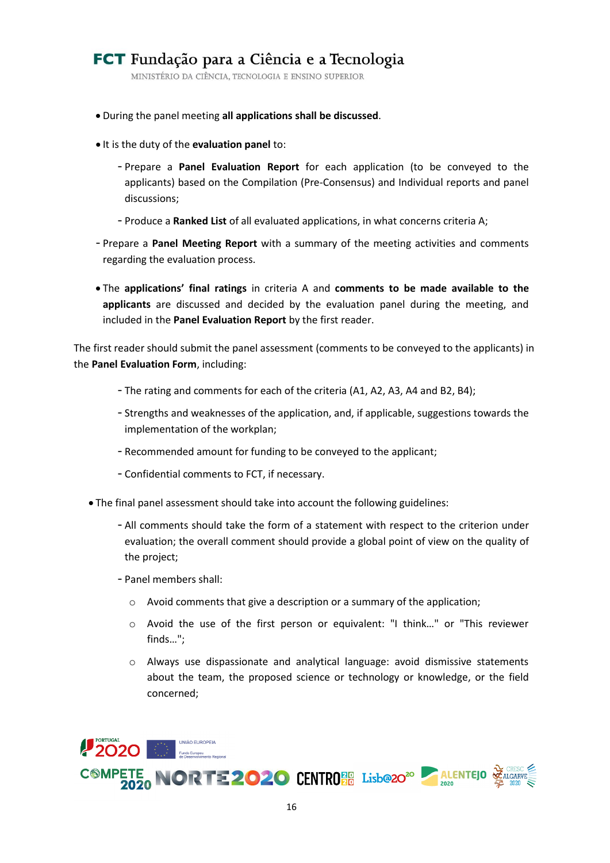MINISTÉRIO DA CIÊNCIA, TECNOLOGIA E ENSINO SUPERIOR

- During the panel meeting **all applications shall be discussed**.
- $\bullet$  It is the duty of the **evaluation panel** to:
	- Prepare a **Panel Evaluation Report** for each application (to be conveyed to the applicants) based on the Compilation (Pre-Consensus) and Individual reports and panel discussions;
	- Produce a **Ranked List** of all evaluated applications, in what concerns criteria A;
- Prepare a **Panel Meeting Report** with a summary of the meeting activities and comments regarding the evaluation process.
- The **applications' final ratings** in criteria A and **comments to be made available to the applicants** are discussed and decided by the evaluation panel during the meeting, and included in the **Panel Evaluation Report** by the first reader.

The first reader should submit the panel assessment (comments to be conveyed to the applicants) in the **Panel Evaluation Form**, including:

- The rating and comments for each of the criteria (A1, A2, A3, A4 and B2, B4);
- Strengths and weaknesses of the application, and, if applicable, suggestions towards the implementation of the workplan;
- Recommended amount for funding to be conveyed to the applicant;
- Confidential comments to FCT, if necessary.
- The final panel assessment should take into account the following guidelines:
	- All comments should take the form of a statement with respect to the criterion under evaluation; the overall comment should provide a global point of view on the quality of the project;
	- Panel members shall:
		- o Avoid comments that give a description or a summary of the application;
		- o Avoid the use of the first person or equivalent: "I think…" or "This reviewer finds…";
		- o Always use dispassionate and analytical language: avoid dismissive statements about the team, the proposed science or technology or knowledge, or the field concerned;

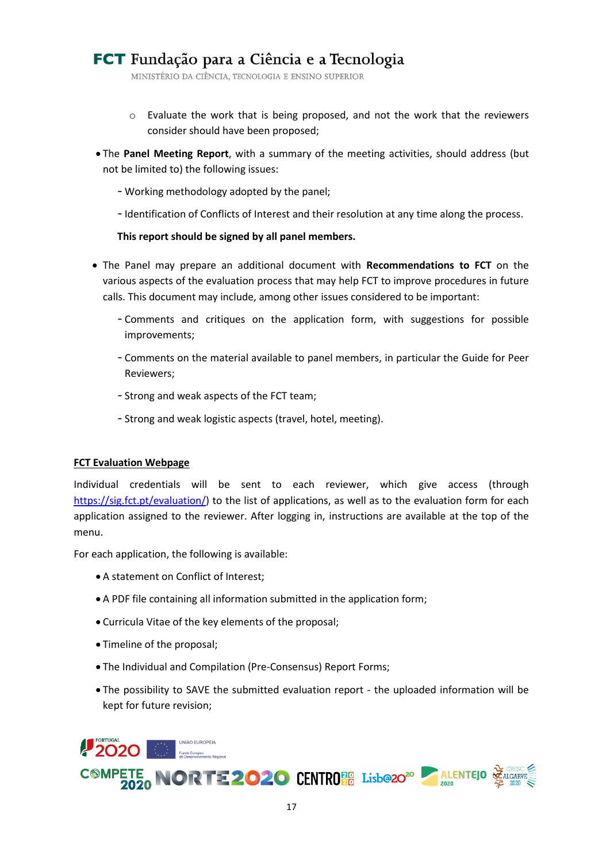MINISTÉRIO DA CIÊNCIA, TECNOLOGIA E ENSINO SUPERIOR

- $\circ$  Evaluate the work that is being proposed, and not the work that the reviewers consider should have been proposed;
- The **Panel Meeting Report**, with a summary of the meeting activities, should address (but not be limited to) the following issues:
	- Working methodology adopted by the panel;
	- Identification of Conflicts of Interest and their resolution at any time along the process.

### **This report should be signed by all panel members.**

- The Panel may prepare an additional document with **Recommendations to FCT** on the various aspects of the evaluation process that may help FCT to improve procedures in future calls. This document may include, among other issues considered to be important:
	- Comments and critiques on the application form, with suggestions for possible improvements;
	- Comments on the material available to panel members, in particular the Guide for Peer Reviewers;
	- Strong and weak aspects of the FCT team;
	- Strong and weak logistic aspects (travel, hotel, meeting).

#### **FCT Evaluation Webpage**

Individual credentials will be sent to each reviewer, which give access (through [https://sig.fct.pt/evaluation/\)](https://sig.fct.pt/evaluation/) to the list of applications, as well as to the evaluation form for each application assigned to the reviewer. After logging in, instructions are available at the top of the menu.

For each application, the following is available:

- A statement on Conflict of Interest;
- A PDF file containing all information submitted in the application form;
- Curricula Vitae of the key elements of the proposal;
- Timeline of the proposal;
- The Individual and Compilation (Pre-Consensus) Report Forms;
- The possibility to SAVE the submitted evaluation report the uploaded information will be kept for future revision;

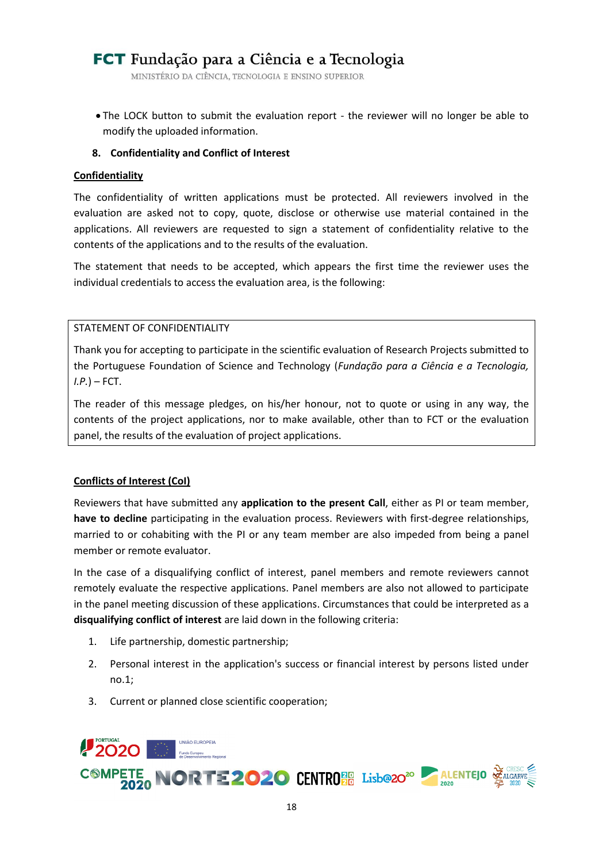MINISTÉRIO DA CIÊNCIA, TECNOLOGIA E ENSINO SUPERIOR

 The LOCK button to submit the evaluation report - the reviewer will no longer be able to modify the uploaded information.

### <span id="page-17-0"></span>**8. Confidentiality and Conflict of Interest**

#### <span id="page-17-1"></span>**Confidentiality**

The confidentiality of written applications must be protected. All reviewers involved in the evaluation are asked not to copy, quote, disclose or otherwise use material contained in the applications. All reviewers are requested to sign a statement of confidentiality relative to the contents of the applications and to the results of the evaluation.

The statement that needs to be accepted, which appears the first time the reviewer uses the individual credentials to access the evaluation area, is the following:

### STATEMENT OF CONFIDENTIALITY

Thank you for accepting to participate in the scientific evaluation of Research Projects submitted to the Portuguese Foundation of Science and Technology (*Fundação para a Ciência e a Tecnologia, I.P.*) – FCT.

The reader of this message pledges, on his/her honour, not to quote or using in any way, the contents of the project applications, nor to make available, other than to FCT or the evaluation panel, the results of the evaluation of project applications.

### **Conflicts of Interest (CoI)**

Reviewers that have submitted any **application to the present Call**, either as PI or team member, **have to decline** participating in the evaluation process. Reviewers with first-degree relationships, married to or cohabiting with the PI or any team member are also impeded from being a panel member or remote evaluator.

In the case of a disqualifying conflict of interest, panel members and remote reviewers cannot remotely evaluate the respective applications. Panel members are also not allowed to participate in the panel meeting discussion of these applications. Circumstances that could be interpreted as a **disqualifying conflict of interest** are laid down in the following criteria:

- 1. Life partnership, domestic partnership;
- 2. Personal interest in the application's success or financial interest by persons listed under no.1;
- 3. Current or planned close scientific cooperation;

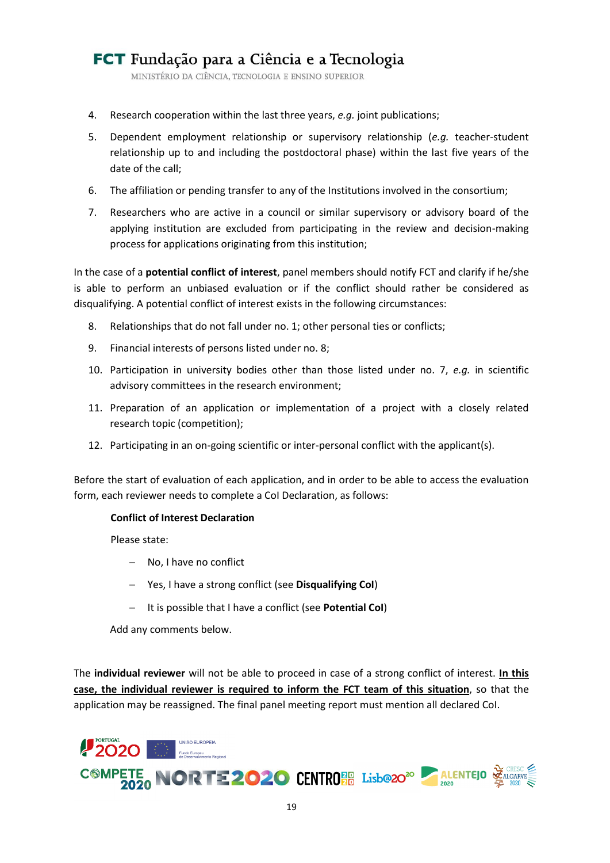MINISTÉRIO DA CIÊNCIA, TECNOLOGIA E ENSINO SUPERIOR

- 4. Research cooperation within the last three years, *e.g.* joint publications;
- 5. Dependent employment relationship or supervisory relationship (*e.g.* teacher-student relationship up to and including the postdoctoral phase) within the last five years of the date of the call;
- 6. The affiliation or pending transfer to any of the Institutions involved in the consortium;
- 7. Researchers who are active in a council or similar supervisory or advisory board of the applying institution are excluded from participating in the review and decision-making process for applications originating from this institution;

In the case of a **potential conflict of interest**, panel members should notify FCT and clarify if he/she is able to perform an unbiased evaluation or if the conflict should rather be considered as disqualifying. A potential conflict of interest exists in the following circumstances:

- 8. Relationships that do not fall under no. 1; other personal ties or conflicts;
- 9. Financial interests of persons listed under no. 8;
- 10. Participation in university bodies other than those listed under no. 7, *e.g.* in scientific advisory committees in the research environment;
- 11. Preparation of an application or implementation of a project with a closely related research topic (competition);
- 12. Participating in an on-going scientific or inter-personal conflict with the applicant(s).

Before the start of evaluation of each application, and in order to be able to access the evaluation form, each reviewer needs to complete a CoI Declaration, as follows:

#### **Conflict of Interest Declaration**

Please state:

- No. I have no conflict
- Yes, I have a strong conflict (see **Disqualifying CoI**)
- It is possible that I have a conflict (see **Potential CoI**)

Add any comments below.

The **individual reviewer** will not be able to proceed in case of a strong conflict of interest. **In this case, the individual reviewer is required to inform the FCT team of this situation**, so that the application may be reassigned. The final panel meeting report must mention all declared CoI.